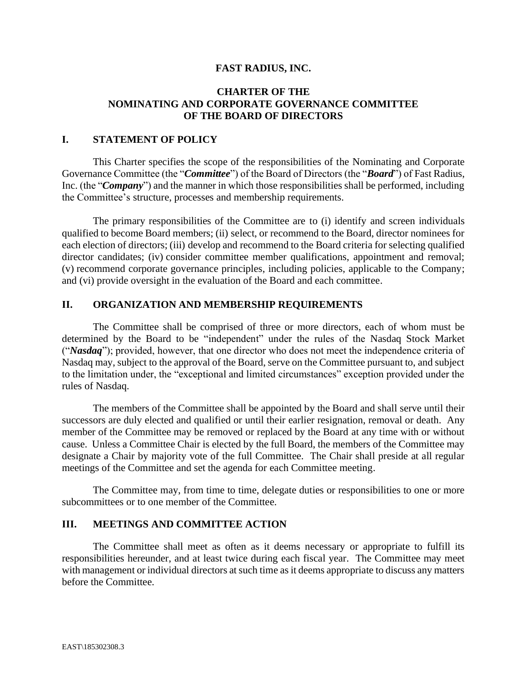#### **FAST RADIUS, INC.**

### **CHARTER OF THE NOMINATING AND CORPORATE GOVERNANCE COMMITTEE OF THE BOARD OF DIRECTORS**

#### **I. STATEMENT OF POLICY**

This Charter specifies the scope of the responsibilities of the Nominating and Corporate Governance Committee (the "*Committee*") of the Board of Directors (the "*Board*") of Fast Radius, Inc. (the "*Company*") and the manner in which those responsibilities shall be performed, including the Committee's structure, processes and membership requirements.

The primary responsibilities of the Committee are to (i) identify and screen individuals qualified to become Board members; (ii) select, or recommend to the Board, director nominees for each election of directors; (iii) develop and recommend to the Board criteria for selecting qualified director candidates; (iv) consider committee member qualifications, appointment and removal; (v) recommend corporate governance principles, including policies, applicable to the Company; and (vi) provide oversight in the evaluation of the Board and each committee.

### **II. ORGANIZATION AND MEMBERSHIP REQUIREMENTS**

The Committee shall be comprised of three or more directors, each of whom must be determined by the Board to be "independent" under the rules of the Nasdaq Stock Market ("*Nasdaq*"); provided, however, that one director who does not meet the independence criteria of Nasdaq may, subject to the approval of the Board, serve on the Committee pursuant to, and subject to the limitation under, the "exceptional and limited circumstances" exception provided under the rules of Nasdaq.

The members of the Committee shall be appointed by the Board and shall serve until their successors are duly elected and qualified or until their earlier resignation, removal or death. Any member of the Committee may be removed or replaced by the Board at any time with or without cause. Unless a Committee Chair is elected by the full Board, the members of the Committee may designate a Chair by majority vote of the full Committee. The Chair shall preside at all regular meetings of the Committee and set the agenda for each Committee meeting.

The Committee may, from time to time, delegate duties or responsibilities to one or more subcommittees or to one member of the Committee.

### **III. MEETINGS AND COMMITTEE ACTION**

The Committee shall meet as often as it deems necessary or appropriate to fulfill its responsibilities hereunder, and at least twice during each fiscal year. The Committee may meet with management or individual directors at such time as it deems appropriate to discuss any matters before the Committee.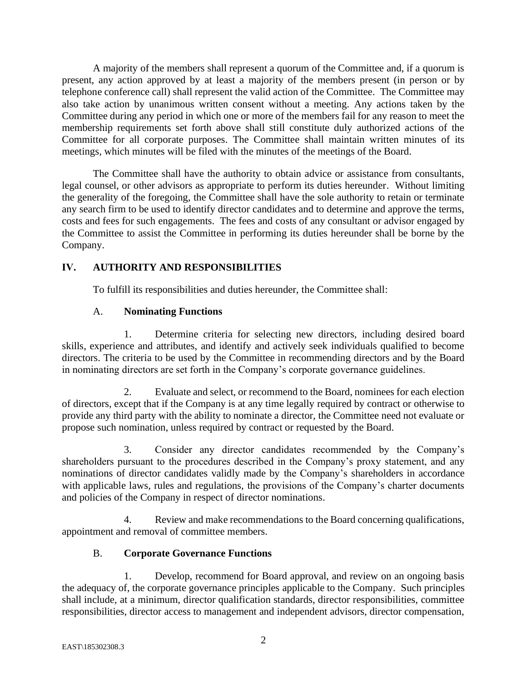A majority of the members shall represent a quorum of the Committee and, if a quorum is present, any action approved by at least a majority of the members present (in person or by telephone conference call) shall represent the valid action of the Committee. The Committee may also take action by unanimous written consent without a meeting. Any actions taken by the Committee during any period in which one or more of the members fail for any reason to meet the membership requirements set forth above shall still constitute duly authorized actions of the Committee for all corporate purposes. The Committee shall maintain written minutes of its meetings, which minutes will be filed with the minutes of the meetings of the Board.

The Committee shall have the authority to obtain advice or assistance from consultants, legal counsel, or other advisors as appropriate to perform its duties hereunder. Without limiting the generality of the foregoing, the Committee shall have the sole authority to retain or terminate any search firm to be used to identify director candidates and to determine and approve the terms, costs and fees for such engagements. The fees and costs of any consultant or advisor engaged by the Committee to assist the Committee in performing its duties hereunder shall be borne by the Company.

# **IV. AUTHORITY AND RESPONSIBILITIES**

To fulfill its responsibilities and duties hereunder, the Committee shall:

# A. **Nominating Functions**

1. Determine criteria for selecting new directors, including desired board skills, experience and attributes, and identify and actively seek individuals qualified to become directors. The criteria to be used by the Committee in recommending directors and by the Board in nominating directors are set forth in the Company's corporate governance guidelines.

2. Evaluate and select, or recommend to the Board, nominees for each election of directors, except that if the Company is at any time legally required by contract or otherwise to provide any third party with the ability to nominate a director, the Committee need not evaluate or propose such nomination, unless required by contract or requested by the Board.

3. Consider any director candidates recommended by the Company's shareholders pursuant to the procedures described in the Company's proxy statement, and any nominations of director candidates validly made by the Company's shareholders in accordance with applicable laws, rules and regulations, the provisions of the Company's charter documents and policies of the Company in respect of director nominations.

4. Review and make recommendations to the Board concerning qualifications, appointment and removal of committee members.

# B. **Corporate Governance Functions**

1. Develop, recommend for Board approval, and review on an ongoing basis the adequacy of, the corporate governance principles applicable to the Company. Such principles shall include, at a minimum, director qualification standards, director responsibilities, committee responsibilities, director access to management and independent advisors, director compensation,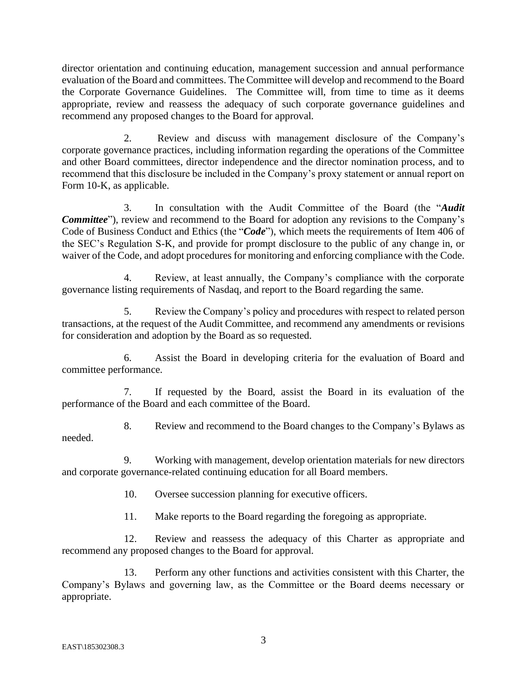director orientation and continuing education, management succession and annual performance evaluation of the Board and committees. The Committee will develop and recommend to the Board the Corporate Governance Guidelines. The Committee will, from time to time as it deems appropriate, review and reassess the adequacy of such corporate governance guidelines and recommend any proposed changes to the Board for approval.

2. Review and discuss with management disclosure of the Company's corporate governance practices, including information regarding the operations of the Committee and other Board committees, director independence and the director nomination process, and to recommend that this disclosure be included in the Company's proxy statement or annual report on Form 10-K, as applicable.

3. In consultation with the Audit Committee of the Board (the "*Audit Committee*"), review and recommend to the Board for adoption any revisions to the Company's Code of Business Conduct and Ethics (the "*Code*"), which meets the requirements of Item 406 of the SEC's Regulation S-K, and provide for prompt disclosure to the public of any change in, or waiver of the Code, and adopt procedures for monitoring and enforcing compliance with the Code.

4. Review, at least annually, the Company's compliance with the corporate governance listing requirements of Nasdaq, and report to the Board regarding the same.

5. Review the Company's policy and procedures with respect to related person transactions, at the request of the Audit Committee, and recommend any amendments or revisions for consideration and adoption by the Board as so requested.

6. Assist the Board in developing criteria for the evaluation of Board and committee performance.

7. If requested by the Board, assist the Board in its evaluation of the performance of the Board and each committee of the Board.

8. Review and recommend to the Board changes to the Company's Bylaws as needed.

9. Working with management, develop orientation materials for new directors and corporate governance-related continuing education for all Board members.

10. Oversee succession planning for executive officers.

11. Make reports to the Board regarding the foregoing as appropriate.

12. Review and reassess the adequacy of this Charter as appropriate and recommend any proposed changes to the Board for approval.

13. Perform any other functions and activities consistent with this Charter, the Company's Bylaws and governing law, as the Committee or the Board deems necessary or appropriate.